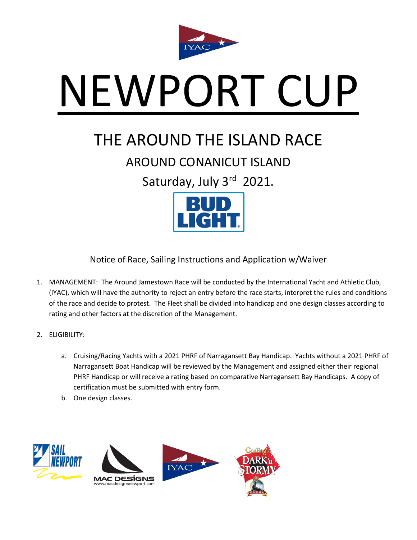

# NEWPORT CUP

# THE AROUND THE ISLAND RACE

## AROUND CONANICUT ISLAND

Saturday, July 3rd 2021.



Notice of Race, Sailing Instructions and Application w/Waiver

- 1. MANAGEMENT: The Around Jamestown Race will be conducted by the International Yacht and Athletic Club, (IYAC), which will have the authority to reject an entry before the race starts, interpret the rules and conditions of the race and decide to protest. The Fleet shall be divided into handicap and one design classes according to rating and other factors at the discretion of the Management.
- 2. ELIGIBILITY:
	- a. Cruising/Racing Yachts with a 2021 PHRF of Narragansett Bay Handicap. Yachts without a 2021 PHRF of Narragansett Boat Handicap will be reviewed by the Management and assigned either their regional PHRF Handicap or will receive a rating based on comparative Narragansett Bay Handicaps. A copy of certification must be submitted with entry form.
	- b. One design classes.

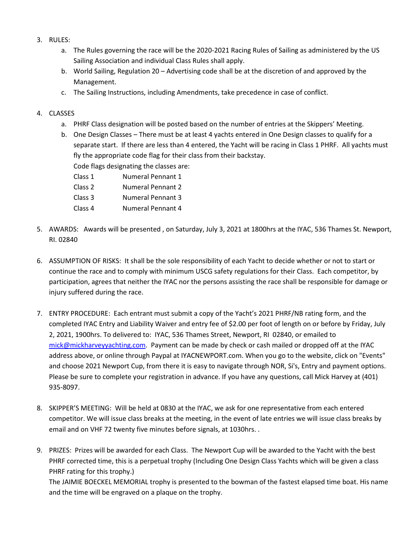- 3. RULES:
	- a. The Rules governing the race will be the 2020-2021 Racing Rules of Sailing as administered by the US Sailing Association and individual Class Rules shall apply.
	- b. World Sailing, Regulation 20 Advertising code shall be at the discretion of and approved by the Management.
	- c. The Sailing Instructions, including Amendments, take precedence in case of conflict.
- 4. CLASSES
	- a. PHRF Class designation will be posted based on the number of entries at the Skippers' Meeting.
	- b. One Design Classes There must be at least 4 yachts entered in One Design classes to qualify for a separate start. If there are less than 4 entered, the Yacht will be racing in Class 1 PHRF. All yachts must fly the appropriate code flag for their class from their backstay.
		- Code flags designating the classes are:
		- Class 1 Numeral Pennant 1 Class 2 Numeral Pennant 2
		- Class 3 Numeral Pennant 3
		-
		- Class 4 Numeral Pennant 4
- 5. AWARDS: Awards will be presented , on Saturday, July 3, 2021 at 1800hrs at the IYAC, 536 Thames St. Newport, RI. 02840
- 6. ASSUMPTION OF RISKS: It shall be the sole responsibility of each Yacht to decide whether or not to start or continue the race and to comply with minimum USCG safety regulations for their Class. Each competitor, by participation, agrees that neither the IYAC nor the persons assisting the race shall be responsible for damage or injury suffered during the race.
- 7. ENTRY PROCEDURE: Each entrant must submit a copy of the Yacht's 2021 PHRF/NB rating form, and the completed IYAC Entry and Liability Waiver and entry fee of \$2.00 per foot of length on or before by Friday, July 2, 2021, 1900hrs. To delivered to: IYAC, 536 Thames Street, Newport, RI 02840, or emailed to [mick@mickharveyyachting.com.](mailto:mick@mickharveyyachting.com) Payment can be made by check or cash mailed or dropped off at the IYAC address above, or online through Paypal at IYACNEWPORT.com. When you go to the website, click on "Events" and choose 2021 Newport Cup, from there it is easy to navigate through NOR, Si's, Entry and payment options. Please be sure to complete your registration in advance. If you have any questions, call Mick Harvey at (401) 935-8097.
- 8. SKIPPER'S MEETING: Will be held at 0830 at the IYAC, we ask for one representative from each entered competitor. We will issue class breaks at the meeting, in the event of late entries we will issue class breaks by email and on VHF 72 twenty five minutes before signals, at 1030hrs. .
- 9. PRIZES: Prizes will be awarded for each Class. The Newport Cup will be awarded to the Yacht with the best PHRF corrected time, this is a perpetual trophy (Including One Design Class Yachts which will be given a class PHRF rating for this trophy.)

The JAIMIE BOECKEL MEMORIAL trophy is presented to the bowman of the fastest elapsed time boat. His name and the time will be engraved on a plaque on the trophy.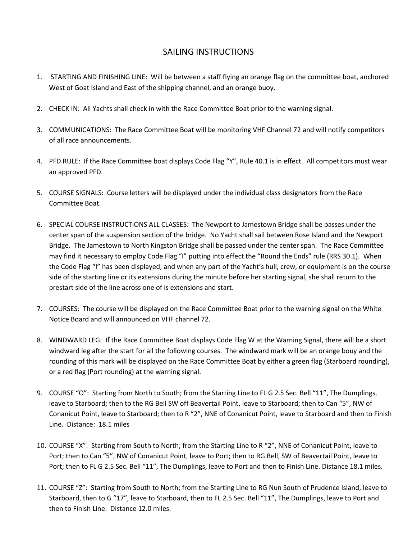#### SAILING INSTRUCTIONS

- 1. STARTING AND FINISHING LINE: Will be between a staff flying an orange flag on the committee boat, anchored West of Goat Island and East of the shipping channel, and an orange buoy.
- 2. CHECK IN: All Yachts shall check in with the Race Committee Boat prior to the warning signal.
- 3. COMMUNICATIONS: The Race Committee Boat will be monitoring VHF Channel 72 and will notify competitors of all race announcements.
- 4. PFD RULE: If the Race Committee boat displays Code Flag "Y", Rule 40.1 is in effect. All competitors must wear an approved PFD.
- 5. COURSE SIGNALS: Course letters will be displayed under the individual class designators from the Race Committee Boat.
- 6. SPECIAL COURSE INSTRUCTIONS ALL CLASSES: The Newport to Jamestown Bridge shall be passes under the center span of the suspension section of the bridge. No Yacht shall sail between Rose Island and the Newport Bridge. The Jamestown to North Kingston Bridge shall be passed under the center span. The Race Committee may find it necessary to employ Code Flag "I" putting into effect the "Round the Ends" rule (RRS 30.1). When the Code Flag "I" has been displayed, and when any part of the Yacht's hull, crew, or equipment is on the course side of the starting line or its extensions during the minute before her starting signal, she shall return to the prestart side of the line across one of is extensions and start.
- 7. COURSES: The course will be displayed on the Race Committee Boat prior to the warning signal on the White Notice Board and will announced on VHF channel 72.
- 8. WINDWARD LEG: If the Race Committee Boat displays Code Flag W at the Warning Signal, there will be a short windward leg after the start for all the following courses. The windward mark will be an orange bouy and the rounding of this mark will be displayed on the Race Committee Boat by either a green flag (Starboard rounding), or a red flag (Port rounding) at the warning signal.
- 9. COURSE "O": Starting from North to South; from the Starting Line to FL G 2.5 Sec. Bell "11", The Dumplings, leave to Starboard; then to the RG Bell SW off Beavertail Point, leave to Starboard; then to Can "5", NW of Conanicut Point, leave to Starboard; then to R "2", NNE of Conanicut Point, leave to Starboard and then to Finish Line. Distance: 18.1 miles
- 10. COURSE "X": Starting from South to North; from the Starting Line to R "2", NNE of Conanicut Point, leave to Port; then to Can "5", NW of Conanicut Point, leave to Port; then to RG Bell, SW of Beavertail Point, leave to Port; then to FL G 2.5 Sec. Bell "11", The Dumplings, leave to Port and then to Finish Line. Distance 18.1 miles.
- 11. COURSE "Z": Starting from South to North; from the Starting Line to RG Nun South of Prudence Island, leave to Starboard, then to G "17", leave to Starboard, then to FL 2.5 Sec. Bell "11", The Dumplings, leave to Port and then to Finish Line. Distance 12.0 miles.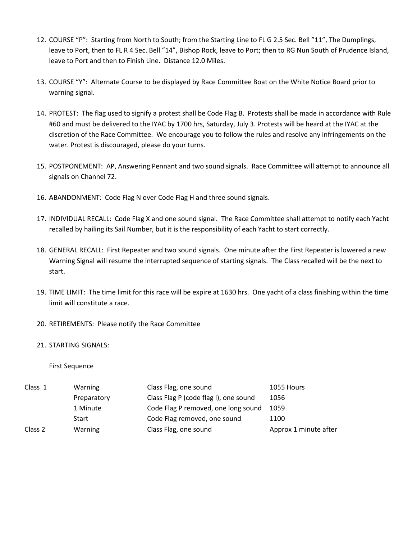- 12. COURSE "P": Starting from North to South; from the Starting Line to FL G 2.5 Sec. Bell "11", The Dumplings, leave to Port, then to FL R 4 Sec. Bell "14", Bishop Rock, leave to Port; then to RG Nun South of Prudence Island, leave to Port and then to Finish Line. Distance 12.0 Miles.
- 13. COURSE "Y": Alternate Course to be displayed by Race Committee Boat on the White Notice Board prior to warning signal.
- 14. PROTEST: The flag used to signify a protest shall be Code Flag B. Protests shall be made in accordance with Rule #60 and must be delivered to the IYAC by 1700 hrs, Saturday, July 3. Protests will be heard at the IYAC at the discretion of the Race Committee. We encourage you to follow the rules and resolve any infringements on the water. Protest is discouraged, please do your turns.
- 15. POSTPONEMENT: AP, Answering Pennant and two sound signals. Race Committee will attempt to announce all signals on Channel 72.
- 16. ABANDONMENT: Code Flag N over Code Flag H and three sound signals.
- 17. INDIVIDUAL RECALL: Code Flag X and one sound signal. The Race Committee shall attempt to notify each Yacht recalled by hailing its Sail Number, but it is the responsibility of each Yacht to start correctly.
- 18. GENERAL RECALL: First Repeater and two sound signals. One minute after the First Repeater is lowered a new Warning Signal will resume the interrupted sequence of starting signals. The Class recalled will be the next to start.
- 19. TIME LIMIT: The time limit for this race will be expire at 1630 hrs. One yacht of a class finishing within the time limit will constitute a race.
- 20. RETIREMENTS: Please notify the Race Committee

#### 21. STARTING SIGNALS:

First Sequence

| Class 1 | Warning     | Class Flag, one sound                 | 1055 Hours            |
|---------|-------------|---------------------------------------|-----------------------|
|         | Preparatory | Class Flag P (code flag I), one sound | 1056                  |
|         | 1 Minute    | Code Flag P removed, one long sound   | 1059                  |
|         | Start       | Code Flag removed, one sound          | 1100                  |
| Class 2 | Warning     | Class Flag, one sound                 | Approx 1 minute after |